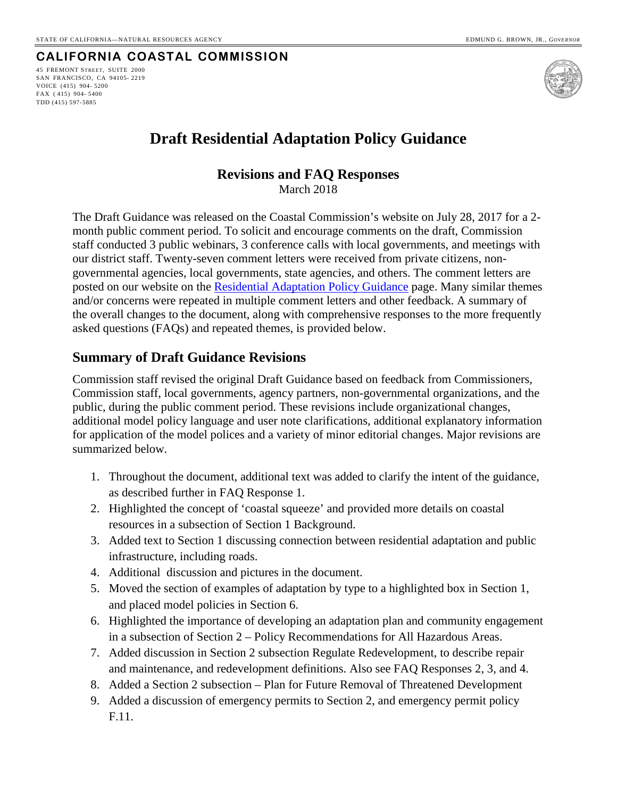# **CALIFORNIA COASTAL COMMISSION**

45 FREMONT STREET, SUITE 2000 SAN FRANCISCO, CA 94105- 2219 VOICE (415) 904- 5200 FAX ( 415) 904- 5400 TDD (415) 597-5885



# **Draft Residential Adaptation Policy Guidance**

## **Revisions and FAQ Responses**

March 2018

The Draft Guidance was released on the Coastal Commission's website on July 28, 2017 for a 2 month public comment period. To solicit and encourage comments on the draft, Commission staff conducted 3 public webinars, 3 conference calls with local governments, and meetings with our district staff. Twenty-seven comment letters were received from private citizens, nongovernmental agencies, local governments, state agencies, and others. The comment letters are posted on our website on the [Residential Adaptation Policy Guidance](https://www.coastal.ca.gov/climate/slr/vulnerability-adaptation/residential/) page. Many similar themes and/or concerns were repeated in multiple comment letters and other feedback. A summary of the overall changes to the document, along with comprehensive responses to the more frequently asked questions (FAQs) and repeated themes, is provided below.

## **Summary of Draft Guidance Revisions**

Commission staff revised the original Draft Guidance based on feedback from Commissioners, Commission staff, local governments, agency partners, non-governmental organizations, and the public, during the public comment period. These revisions include organizational changes, additional model policy language and user note clarifications, additional explanatory information for application of the model polices and a variety of minor editorial changes. Major revisions are summarized below.

- 1. Throughout the document, additional text was added to clarify the intent of the guidance, as described further in FAQ Response 1.
- 2. Highlighted the concept of 'coastal squeeze' and provided more details on coastal resources in a subsection of Section 1 Background.
- 3. Added text to Section 1 discussing connection between residential adaptation and public infrastructure, including roads.
- 4. Additional discussion and pictures in the document.
- 5. Moved the section of examples of adaptation by type to a highlighted box in Section 1, and placed model policies in Section 6.
- 6. Highlighted the importance of developing an adaptation plan and community engagement in a subsection of Section 2 – Policy Recommendations for All Hazardous Areas.
- 7. Added discussion in Section 2 subsection Regulate Redevelopment, to describe repair and maintenance, and redevelopment definitions. Also see FAQ Responses 2, 3, and 4.
- 8. Added a Section 2 subsection Plan for Future Removal of Threatened Development
- 9. Added a discussion of emergency permits to Section 2, and emergency permit policy F.11.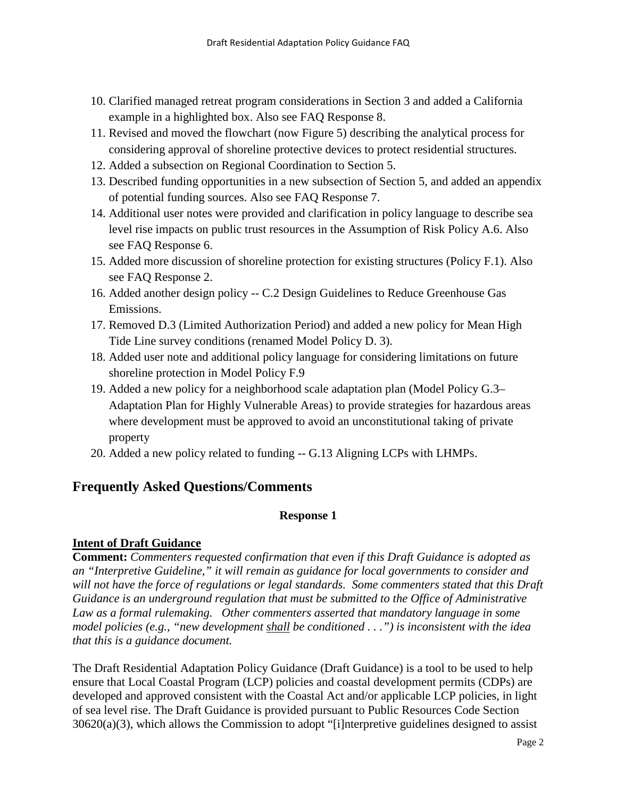- 10. Clarified managed retreat program considerations in Section 3 and added a California example in a highlighted box. Also see FAQ Response 8.
- 11. Revised and moved the flowchart (now Figure 5) describing the analytical process for considering approval of shoreline protective devices to protect residential structures.
- 12. Added a subsection on Regional Coordination to Section 5.
- 13. Described funding opportunities in a new subsection of Section 5, and added an appendix of potential funding sources. Also see FAQ Response 7.
- 14. Additional user notes were provided and clarification in policy language to describe sea level rise impacts on public trust resources in the Assumption of Risk Policy A.6. Also see FAQ Response 6.
- 15. Added more discussion of shoreline protection for existing structures (Policy F.1). Also see FAQ Response 2.
- 16. Added another design policy -- C.2 Design Guidelines to Reduce Greenhouse Gas Emissions.
- 17. Removed D.3 (Limited Authorization Period) and added a new policy for Mean High Tide Line survey conditions (renamed Model Policy D. 3).
- 18. Added user note and additional policy language for considering limitations on future shoreline protection in Model Policy F.9
- 19. Added a new policy for a neighborhood scale adaptation plan (Model Policy G.3– Adaptation Plan for Highly Vulnerable Areas) to provide strategies for hazardous areas where development must be approved to avoid an unconstitutional taking of private property
- 20. Added a new policy related to funding -- G.13 Aligning LCPs with LHMPs.

# **Frequently Asked Questions/Comments**

## **Response 1**

## **Intent of Draft Guidance**

**Comment:** *Commenters requested confirmation that even if this Draft Guidance is adopted as an "Interpretive Guideline," it will remain as guidance for local governments to consider and will not have the force of regulations or legal standards. Some commenters stated that this Draft Guidance is an underground regulation that must be submitted to the Office of Administrative Law as a formal rulemaking. Other commenters asserted that mandatory language in some model policies (e.g., "new development shall be conditioned . . .") is inconsistent with the idea that this is a guidance document.*

The Draft Residential Adaptation Policy Guidance (Draft Guidance) is a tool to be used to help ensure that Local Coastal Program (LCP) policies and coastal development permits (CDPs) are developed and approved consistent with the Coastal Act and/or applicable LCP policies, in light of sea level rise. The Draft Guidance is provided pursuant to Public Resources Code Section 30620(a)(3), which allows the Commission to adopt "[i]nterpretive guidelines designed to assist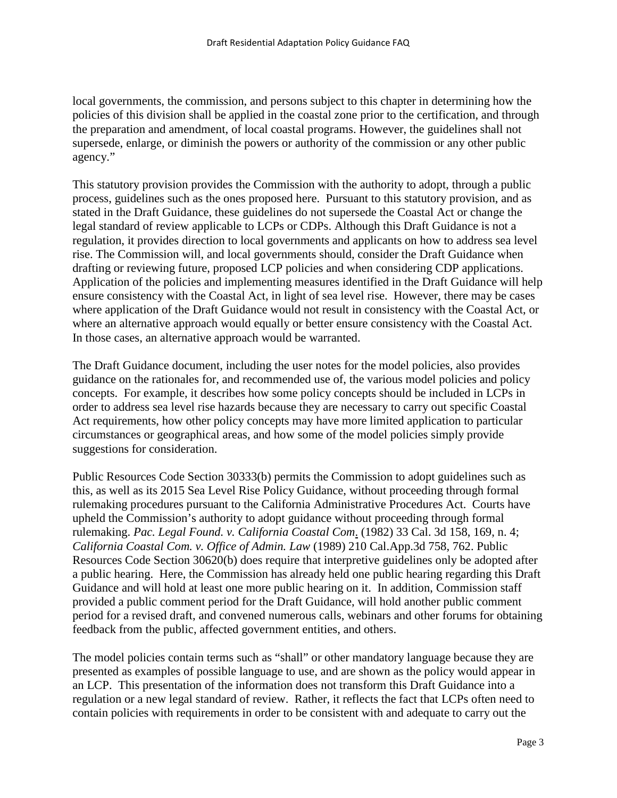local governments, the commission, and persons subject to this chapter in determining how the policies of this division shall be applied in the coastal zone prior to the certification, and through the preparation and amendment, of local coastal programs. However, the guidelines shall not supersede, enlarge, or diminish the powers or authority of the commission or any other public agency."

This statutory provision provides the Commission with the authority to adopt, through a public process, guidelines such as the ones proposed here. Pursuant to this statutory provision, and as stated in the Draft Guidance, these guidelines do not supersede the Coastal Act or change the legal standard of review applicable to LCPs or CDPs. Although this Draft Guidance is not a regulation, it provides direction to local governments and applicants on how to address sea level rise. The Commission will, and local governments should, consider the Draft Guidance when drafting or reviewing future, proposed LCP policies and when considering CDP applications. Application of the policies and implementing measures identified in the Draft Guidance will help ensure consistency with the Coastal Act, in light of sea level rise. However, there may be cases where application of the Draft Guidance would not result in consistency with the Coastal Act, or where an alternative approach would equally or better ensure consistency with the Coastal Act. In those cases, an alternative approach would be warranted.

The Draft Guidance document, including the user notes for the model policies, also provides guidance on the rationales for, and recommended use of, the various model policies and policy concepts. For example, it describes how some policy concepts should be included in LCPs in order to address sea level rise hazards because they are necessary to carry out specific Coastal Act requirements, how other policy concepts may have more limited application to particular circumstances or geographical areas, and how some of the model policies simply provide suggestions for consideration.

Public Resources Code Section 30333(b) permits the Commission to adopt guidelines such as this, as well as its 2015 Sea Level Rise Policy Guidance, without proceeding through formal rulemaking procedures pursuant to the California Administrative Procedures Act. Courts have upheld the Commission's authority to adopt guidance without proceeding through formal rulemaking. *Pac. Legal Found. v. California Coastal Com*. (1982) 33 Cal. 3d 158, 169, n. 4; *California Coastal Com. v. Office of Admin. Law* (1989) 210 Cal.App.3d 758, 762. Public Resources Code Section 30620(b) does require that interpretive guidelines only be adopted after a public hearing. Here, the Commission has already held one public hearing regarding this Draft Guidance and will hold at least one more public hearing on it. In addition, Commission staff provided a public comment period for the Draft Guidance, will hold another public comment period for a revised draft, and convened numerous calls, webinars and other forums for obtaining feedback from the public, affected government entities, and others.

The model policies contain terms such as "shall" or other mandatory language because they are presented as examples of possible language to use, and are shown as the policy would appear in an LCP. This presentation of the information does not transform this Draft Guidance into a regulation or a new legal standard of review. Rather, it reflects the fact that LCPs often need to contain policies with requirements in order to be consistent with and adequate to carry out the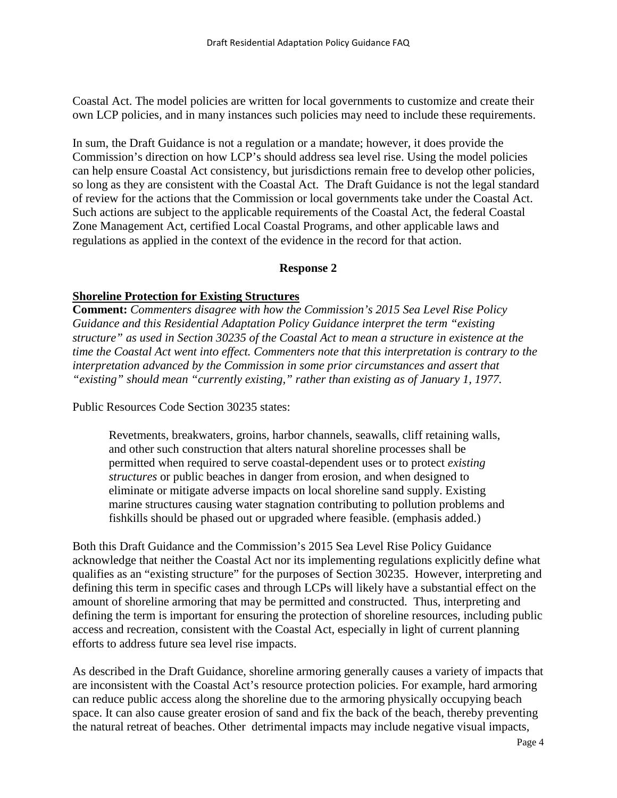Coastal Act. The model policies are written for local governments to customize and create their own LCP policies, and in many instances such policies may need to include these requirements.

In sum, the Draft Guidance is not a regulation or a mandate; however, it does provide the Commission's direction on how LCP's should address sea level rise. Using the model policies can help ensure Coastal Act consistency, but jurisdictions remain free to develop other policies, so long as they are consistent with the Coastal Act. The Draft Guidance is not the legal standard of review for the actions that the Commission or local governments take under the Coastal Act. Such actions are subject to the applicable requirements of the Coastal Act, the federal Coastal Zone Management Act, certified Local Coastal Programs, and other applicable laws and regulations as applied in the context of the evidence in the record for that action.

#### **Response 2**

## **Shoreline Protection for Existing Structures**

**Comment:** *Commenters disagree with how the Commission's 2015 Sea Level Rise Policy Guidance and this Residential Adaptation Policy Guidance interpret the term "existing structure" as used in Section 30235 of the Coastal Act to mean a structure in existence at the time the Coastal Act went into effect. Commenters note that this interpretation is contrary to the interpretation advanced by the Commission in some prior circumstances and assert that "existing" should mean "currently existing," rather than existing as of January 1, 1977.*

Public Resources Code Section 30235 states:

Revetments, breakwaters, groins, harbor channels, seawalls, cliff retaining walls, and other such construction that alters natural shoreline processes shall be permitted when required to serve coastal-dependent uses or to protect *existing structures* or public beaches in danger from erosion, and when designed to eliminate or mitigate adverse impacts on local shoreline sand supply. Existing marine structures causing water stagnation contributing to pollution problems and fishkills should be phased out or upgraded where feasible. (emphasis added.)

Both this Draft Guidance and the Commission's 2015 Sea Level Rise Policy Guidance acknowledge that neither the Coastal Act nor its implementing regulations explicitly define what qualifies as an "existing structure" for the purposes of Section 30235. However, interpreting and defining this term in specific cases and through LCPs will likely have a substantial effect on the amount of shoreline armoring that may be permitted and constructed. Thus, interpreting and defining the term is important for ensuring the protection of shoreline resources, including public access and recreation, consistent with the Coastal Act, especially in light of current planning efforts to address future sea level rise impacts.

As described in the Draft Guidance, shoreline armoring generally causes a variety of impacts that are inconsistent with the Coastal Act's resource protection policies. For example, hard armoring can reduce public access along the shoreline due to the armoring physically occupying beach space. It can also cause greater erosion of sand and fix the back of the beach, thereby preventing the natural retreat of beaches. Other detrimental impacts may include negative visual impacts,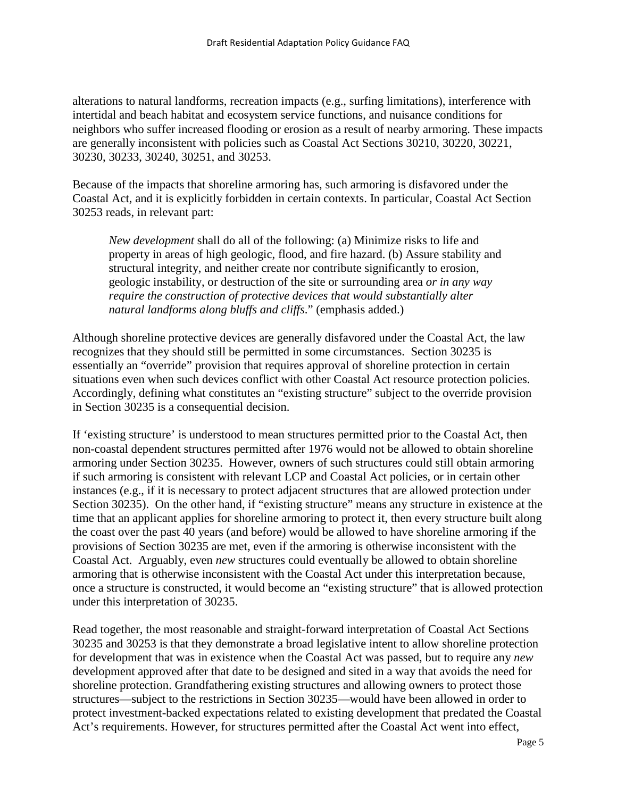alterations to natural landforms, recreation impacts (e.g., surfing limitations), interference with intertidal and beach habitat and ecosystem service functions, and nuisance conditions for neighbors who suffer increased flooding or erosion as a result of nearby armoring. These impacts are generally inconsistent with policies such as Coastal Act Sections 30210, 30220, 30221, 30230, 30233, 30240, 30251, and 30253.

Because of the impacts that shoreline armoring has, such armoring is disfavored under the Coastal Act, and it is explicitly forbidden in certain contexts. In particular, Coastal Act Section 30253 reads, in relevant part:

*New development* shall do all of the following: (a) Minimize risks to life and property in areas of high geologic, flood, and fire hazard. (b) Assure stability and structural integrity, and neither create nor contribute significantly to erosion, geologic instability, or destruction of the site or surrounding area *or in any way require the construction of protective devices that would substantially alter natural landforms along bluffs and cliffs*." (emphasis added.)

Although shoreline protective devices are generally disfavored under the Coastal Act, the law recognizes that they should still be permitted in some circumstances. Section 30235 is essentially an "override" provision that requires approval of shoreline protection in certain situations even when such devices conflict with other Coastal Act resource protection policies. Accordingly, defining what constitutes an "existing structure" subject to the override provision in Section 30235 is a consequential decision.

If 'existing structure' is understood to mean structures permitted prior to the Coastal Act, then non-coastal dependent structures permitted after 1976 would not be allowed to obtain shoreline armoring under Section 30235. However, owners of such structures could still obtain armoring if such armoring is consistent with relevant LCP and Coastal Act policies, or in certain other instances (e.g., if it is necessary to protect adjacent structures that are allowed protection under Section 30235). On the other hand, if "existing structure" means any structure in existence at the time that an applicant applies for shoreline armoring to protect it, then every structure built along the coast over the past 40 years (and before) would be allowed to have shoreline armoring if the provisions of Section 30235 are met, even if the armoring is otherwise inconsistent with the Coastal Act. Arguably, even *new* structures could eventually be allowed to obtain shoreline armoring that is otherwise inconsistent with the Coastal Act under this interpretation because, once a structure is constructed, it would become an "existing structure" that is allowed protection under this interpretation of 30235.

Read together, the most reasonable and straight-forward interpretation of Coastal Act Sections 30235 and 30253 is that they demonstrate a broad legislative intent to allow shoreline protection for development that was in existence when the Coastal Act was passed, but to require any *new* development approved after that date to be designed and sited in a way that avoids the need for shoreline protection. Grandfathering existing structures and allowing owners to protect those structures—subject to the restrictions in Section 30235—would have been allowed in order to protect investment-backed expectations related to existing development that predated the Coastal Act's requirements. However, for structures permitted after the Coastal Act went into effect,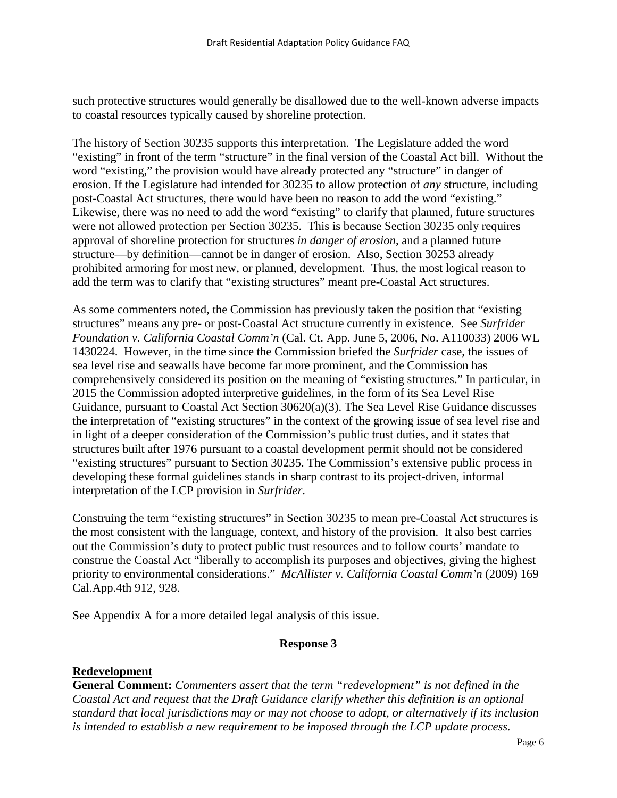such protective structures would generally be disallowed due to the well-known adverse impacts to coastal resources typically caused by shoreline protection.

The history of Section 30235 supports this interpretation. The Legislature added the word "existing" in front of the term "structure" in the final version of the Coastal Act bill. Without the word "existing," the provision would have already protected any "structure" in danger of erosion. If the Legislature had intended for 30235 to allow protection of *any* structure, including post-Coastal Act structures, there would have been no reason to add the word "existing." Likewise, there was no need to add the word "existing" to clarify that planned, future structures were not allowed protection per Section 30235. This is because Section 30235 only requires approval of shoreline protection for structures *in danger of erosion*, and a planned future structure—by definition—cannot be in danger of erosion. Also, Section 30253 already prohibited armoring for most new, or planned, development. Thus, the most logical reason to add the term was to clarify that "existing structures" meant pre-Coastal Act structures.

As some commenters noted, the Commission has previously taken the position that "existing structures" means any pre- or post-Coastal Act structure currently in existence. See *Surfrider Foundation v. California Coastal Comm'n* (Cal. Ct. App. June 5, 2006, No. A110033) 2006 WL 1430224. However, in the time since the Commission briefed the *Surfrider* case, the issues of sea level rise and seawalls have become far more prominent, and the Commission has comprehensively considered its position on the meaning of "existing structures." In particular, in 2015 the Commission adopted interpretive guidelines, in the form of its Sea Level Rise Guidance, pursuant to Coastal Act Section 30620(a)(3). The Sea Level Rise Guidance discusses the interpretation of "existing structures" in the context of the growing issue of sea level rise and in light of a deeper consideration of the Commission's public trust duties, and it states that structures built after 1976 pursuant to a coastal development permit should not be considered "existing structures" pursuant to Section 30235. The Commission's extensive public process in developing these formal guidelines stands in sharp contrast to its project-driven, informal interpretation of the LCP provision in *Surfrider*.

Construing the term "existing structures" in Section 30235 to mean pre-Coastal Act structures is the most consistent with the language, context, and history of the provision. It also best carries out the Commission's duty to protect public trust resources and to follow courts' mandate to construe the Coastal Act "liberally to accomplish its purposes and objectives, giving the highest priority to environmental considerations." *McAllister v. California Coastal Comm'n* (2009) 169 Cal.App.4th 912, 928.

See Appendix A for a more detailed legal analysis of this issue.

## **Response 3**

#### **Redevelopment**

**General Comment:** *Commenters assert that the term "redevelopment" is not defined in the Coastal Act and request that the Draft Guidance clarify whether this definition is an optional standard that local jurisdictions may or may not choose to adopt, or alternatively if its inclusion is intended to establish a new requirement to be imposed through the LCP update process.*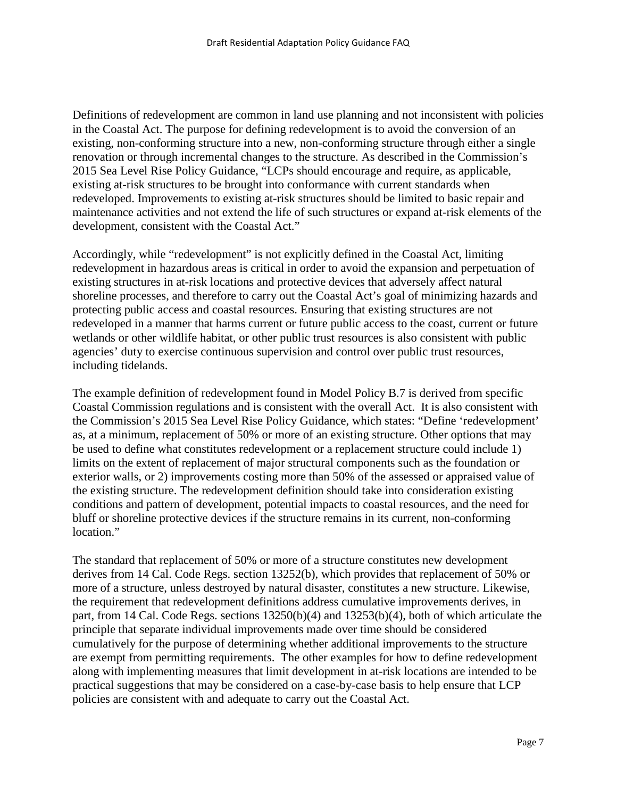Definitions of redevelopment are common in land use planning and not inconsistent with policies in the Coastal Act. The purpose for defining redevelopment is to avoid the conversion of an existing, non-conforming structure into a new, non-conforming structure through either a single renovation or through incremental changes to the structure. As described in the Commission's 2015 Sea Level Rise Policy Guidance, "LCPs should encourage and require, as applicable, existing at-risk structures to be brought into conformance with current standards when redeveloped. Improvements to existing at-risk structures should be limited to basic repair and maintenance activities and not extend the life of such structures or expand at-risk elements of the development, consistent with the Coastal Act."

Accordingly, while "redevelopment" is not explicitly defined in the Coastal Act, limiting redevelopment in hazardous areas is critical in order to avoid the expansion and perpetuation of existing structures in at-risk locations and protective devices that adversely affect natural shoreline processes, and therefore to carry out the Coastal Act's goal of minimizing hazards and protecting public access and coastal resources. Ensuring that existing structures are not redeveloped in a manner that harms current or future public access to the coast, current or future wetlands or other wildlife habitat, or other public trust resources is also consistent with public agencies' duty to exercise continuous supervision and control over public trust resources, including tidelands.

The example definition of redevelopment found in Model Policy B.7 is derived from specific Coastal Commission regulations and is consistent with the overall Act. It is also consistent with the Commission's 2015 Sea Level Rise Policy Guidance, which states: "Define 'redevelopment' as, at a minimum, replacement of 50% or more of an existing structure. Other options that may be used to define what constitutes redevelopment or a replacement structure could include 1) limits on the extent of replacement of major structural components such as the foundation or exterior walls, or 2) improvements costing more than 50% of the assessed or appraised value of the existing structure. The redevelopment definition should take into consideration existing conditions and pattern of development, potential impacts to coastal resources, and the need for bluff or shoreline protective devices if the structure remains in its current, non-conforming location."

The standard that replacement of 50% or more of a structure constitutes new development derives from 14 Cal. Code Regs. section 13252(b), which provides that replacement of 50% or more of a structure, unless destroyed by natural disaster, constitutes a new structure. Likewise, the requirement that redevelopment definitions address cumulative improvements derives, in part, from 14 Cal. Code Regs. sections 13250(b)(4) and 13253(b)(4), both of which articulate the principle that separate individual improvements made over time should be considered cumulatively for the purpose of determining whether additional improvements to the structure are exempt from permitting requirements. The other examples for how to define redevelopment along with implementing measures that limit development in at-risk locations are intended to be practical suggestions that may be considered on a case-by-case basis to help ensure that LCP policies are consistent with and adequate to carry out the Coastal Act.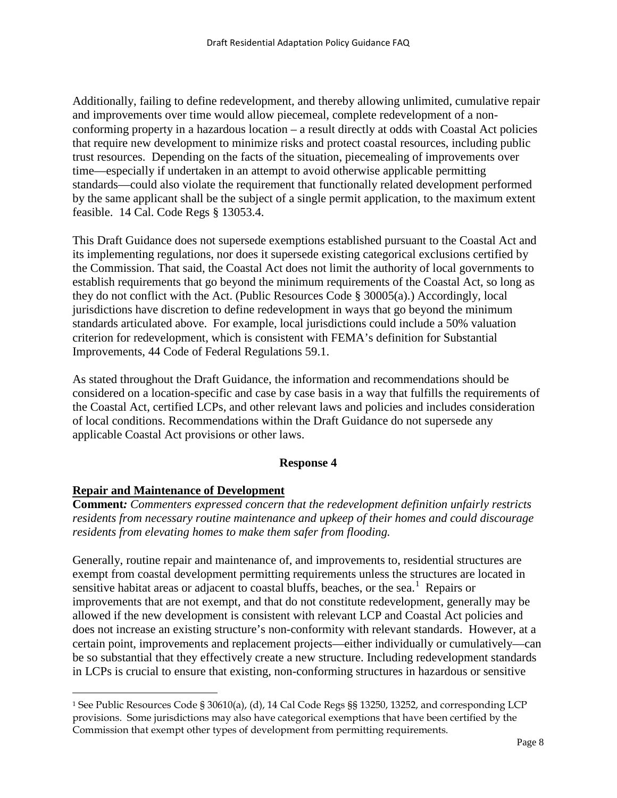Additionally, failing to define redevelopment, and thereby allowing unlimited, cumulative repair and improvements over time would allow piecemeal, complete redevelopment of a nonconforming property in a hazardous location – a result directly at odds with Coastal Act policies that require new development to minimize risks and protect coastal resources, including public trust resources. Depending on the facts of the situation, piecemealing of improvements over time—especially if undertaken in an attempt to avoid otherwise applicable permitting standards—could also violate the requirement that functionally related development performed by the same applicant shall be the subject of a single permit application, to the maximum extent feasible. 14 Cal. Code Regs § 13053.4.

This Draft Guidance does not supersede exemptions established pursuant to the Coastal Act and its implementing regulations, nor does it supersede existing categorical exclusions certified by the Commission. That said, the Coastal Act does not limit the authority of local governments to establish requirements that go beyond the minimum requirements of the Coastal Act, so long as they do not conflict with the Act. (Public Resources Code § 30005(a).) Accordingly, local jurisdictions have discretion to define redevelopment in ways that go beyond the minimum standards articulated above. For example, local jurisdictions could include a 50% valuation criterion for redevelopment, which is consistent with FEMA's definition for Substantial Improvements, 44 Code of Federal Regulations 59.1.

As stated throughout the Draft Guidance, the information and recommendations should be considered on a location-specific and case by case basis in a way that fulfills the requirements of the Coastal Act, certified LCPs, and other relevant laws and policies and includes consideration of local conditions. Recommendations within the Draft Guidance do not supersede any applicable Coastal Act provisions or other laws.

## **Response 4**

## **Repair and Maintenance of Development**

 $\overline{a}$ 

**Comment***: Commenters expressed concern that the redevelopment definition unfairly restricts residents from necessary routine maintenance and upkeep of their homes and could discourage residents from elevating homes to make them safer from flooding.*

Generally, routine repair and maintenance of, and improvements to, residential structures are exempt from coastal development permitting requirements unless the structures are located in sensitive habitat areas or adjacent to coastal bluffs, beaches, or the sea.<sup>[1](#page-7-0)</sup> Repairs or improvements that are not exempt, and that do not constitute redevelopment, generally may be allowed if the new development is consistent with relevant LCP and Coastal Act policies and does not increase an existing structure's non-conformity with relevant standards. However, at a certain point, improvements and replacement projects—either individually or cumulatively—can be so substantial that they effectively create a new structure. Including redevelopment standards in LCPs is crucial to ensure that existing, non-conforming structures in hazardous or sensitive

<span id="page-7-0"></span><sup>1</sup> See Public Resources Code § 30610(a), (d), 14 Cal Code Regs §§ 13250, 13252, and corresponding LCP provisions. Some jurisdictions may also have categorical exemptions that have been certified by the Commission that exempt other types of development from permitting requirements.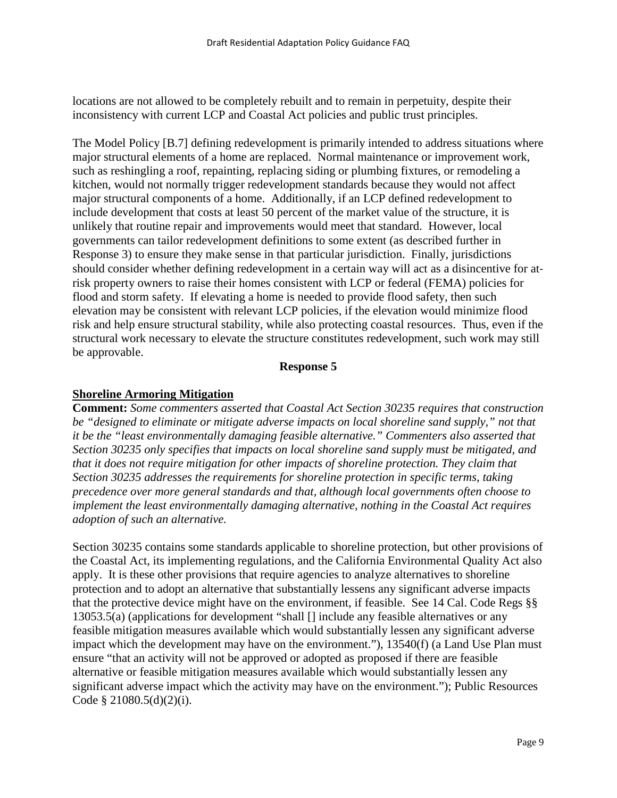locations are not allowed to be completely rebuilt and to remain in perpetuity, despite their inconsistency with current LCP and Coastal Act policies and public trust principles.

The Model Policy [B.7] defining redevelopment is primarily intended to address situations where major structural elements of a home are replaced. Normal maintenance or improvement work, such as reshingling a roof, repainting, replacing siding or plumbing fixtures, or remodeling a kitchen, would not normally trigger redevelopment standards because they would not affect major structural components of a home. Additionally, if an LCP defined redevelopment to include development that costs at least 50 percent of the market value of the structure, it is unlikely that routine repair and improvements would meet that standard. However, local governments can tailor redevelopment definitions to some extent (as described further in Response 3) to ensure they make sense in that particular jurisdiction. Finally, jurisdictions should consider whether defining redevelopment in a certain way will act as a disincentive for atrisk property owners to raise their homes consistent with LCP or federal (FEMA) policies for flood and storm safety. If elevating a home is needed to provide flood safety, then such elevation may be consistent with relevant LCP policies, if the elevation would minimize flood risk and help ensure structural stability, while also protecting coastal resources. Thus, even if the structural work necessary to elevate the structure constitutes redevelopment, such work may still be approvable.

#### **Response 5**

## **Shoreline Armoring Mitigation**

**Comment:** *Some commenters asserted that Coastal Act Section 30235 requires that construction be "designed to eliminate or mitigate adverse impacts on local shoreline sand supply," not that it be the "least environmentally damaging feasible alternative." Commenters also asserted that Section 30235 only specifies that impacts on local shoreline sand supply must be mitigated, and that it does not require mitigation for other impacts of shoreline protection. They claim that Section 30235 addresses the requirements for shoreline protection in specific terms, taking precedence over more general standards and that, although local governments often choose to implement the least environmentally damaging alternative, nothing in the Coastal Act requires adoption of such an alternative.* 

Section 30235 contains some standards applicable to shoreline protection, but other provisions of the Coastal Act, its implementing regulations, and the California Environmental Quality Act also apply. It is these other provisions that require agencies to analyze alternatives to shoreline protection and to adopt an alternative that substantially lessens any significant adverse impacts that the protective device might have on the environment, if feasible. See 14 Cal. Code Regs §§ 13053.5(a) (applications for development "shall [] include any feasible alternatives or any feasible mitigation measures available which would substantially lessen any significant adverse impact which the development may have on the environment."), 13540(f) (a Land Use Plan must ensure "that an activity will not be approved or adopted as proposed if there are feasible alternative or feasible mitigation measures available which would substantially lessen any significant adverse impact which the activity may have on the environment."); Public Resources Code § 21080.5(d)(2)(i).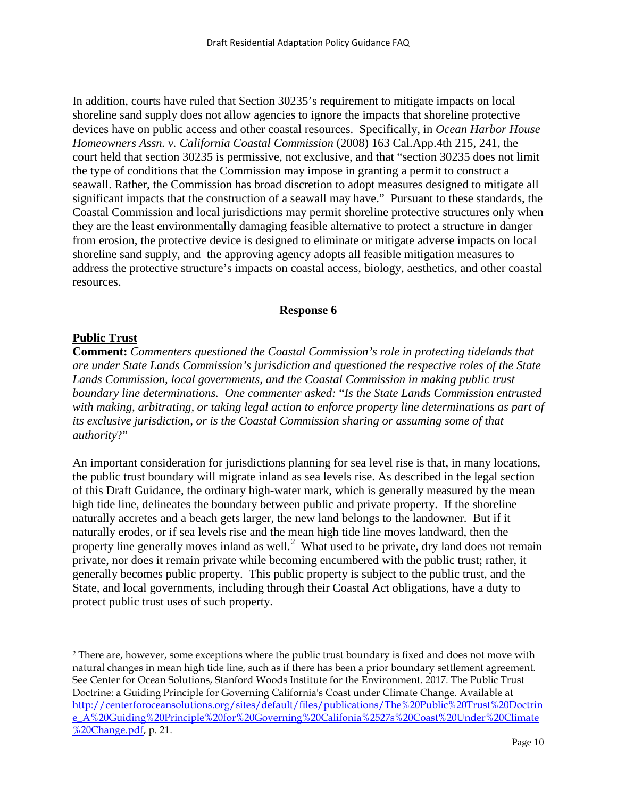In addition, courts have ruled that Section 30235's requirement to mitigate impacts on local shoreline sand supply does not allow agencies to ignore the impacts that shoreline protective devices have on public access and other coastal resources. Specifically, in *Ocean Harbor House Homeowners Assn. v. California Coastal Commission* (2008) 163 Cal.App.4th 215, 241, the court held that section 30235 is permissive, not exclusive, and that "section 30235 does not limit the type of conditions that the Commission may impose in granting a permit to construct a seawall. Rather, the Commission has broad discretion to adopt measures designed to mitigate all significant impacts that the construction of a seawall may have." Pursuant to these standards, the Coastal Commission and local jurisdictions may permit shoreline protective structures only when they are the least environmentally damaging feasible alternative to protect a structure in danger from erosion, the protective device is designed to eliminate or mitigate adverse impacts on local shoreline sand supply, and the approving agency adopts all feasible mitigation measures to address the protective structure's impacts on coastal access, biology, aesthetics, and other coastal resources.

#### **Response 6**

## **Public Trust**

 $\overline{a}$ 

**Comment:** *Commenters questioned the Coastal Commission's role in protecting tidelands that are under State Lands Commission's jurisdiction and questioned the respective roles of the State Lands Commission, local governments, and the Coastal Commission in making public trust boundary line determinations. One commenter asked:* "*Is the State Lands Commission entrusted with making, arbitrating, or taking legal action to enforce property line determinations as part of its exclusive jurisdiction, or is the Coastal Commission sharing or assuming some of that authority*?"

An important consideration for jurisdictions planning for sea level rise is that, in many locations, the public trust boundary will migrate inland as sea levels rise. As described in the legal section of this Draft Guidance, the ordinary high-water mark, which is generally measured by the mean high tide line, delineates the boundary between public and private property. If the shoreline naturally accretes and a beach gets larger, the new land belongs to the landowner. But if it naturally erodes, or if sea levels rise and the mean high tide line moves landward, then the property line generally moves inland as well.<sup>[2](#page-9-0)</sup> What used to be private, dry land does not remain private, nor does it remain private while becoming encumbered with the public trust; rather, it generally becomes public property. This public property is subject to the public trust, and the State, and local governments, including through their Coastal Act obligations, have a duty to protect public trust uses of such property.

<span id="page-9-0"></span><sup>2</sup> There are, however, some exceptions where the public trust boundary is fixed and does not move with natural changes in mean high tide line, such as if there has been a prior boundary settlement agreement. See Center for Ocean Solutions, Stanford Woods Institute for the Environment. 2017. The Public Trust Doctrine: a Guiding Principle for Governing California's Coast under Climate Change. Available at [http://centerforoceansolutions.org/sites/default/files/publications/The%20Public%20Trust%20Doctrin](http://centerforoceansolutions.org/sites/default/files/publications/The%20Public%20Trust%20Doctrine_A%20Guiding%20Principle%20for%20Governing%20Califonia%2527s%20Coast%20Under%20Climate%20Change.pdf) [e\\_A%20Guiding%20Principle%20for%20Governing%20Califonia%2527s%20Coast%20Under%20Climate](http://centerforoceansolutions.org/sites/default/files/publications/The%20Public%20Trust%20Doctrine_A%20Guiding%20Principle%20for%20Governing%20Califonia%2527s%20Coast%20Under%20Climate%20Change.pdf) [%20Change.pdf,](http://centerforoceansolutions.org/sites/default/files/publications/The%20Public%20Trust%20Doctrine_A%20Guiding%20Principle%20for%20Governing%20Califonia%2527s%20Coast%20Under%20Climate%20Change.pdf) p. 21.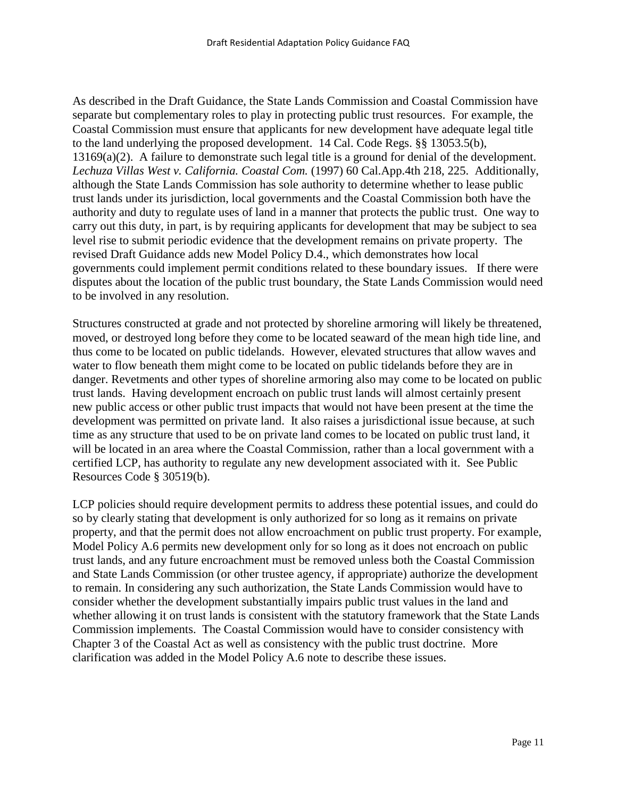As described in the Draft Guidance, the State Lands Commission and Coastal Commission have separate but complementary roles to play in protecting public trust resources. For example, the Coastal Commission must ensure that applicants for new development have adequate legal title to the land underlying the proposed development. 14 Cal. Code Regs. §§ 13053.5(b), 13169(a)(2). A failure to demonstrate such legal title is a ground for denial of the development. *Lechuza Villas West v. California. Coastal Com.* (1997) 60 Cal.App.4th 218, 225. Additionally, although the State Lands Commission has sole authority to determine whether to lease public trust lands under its jurisdiction, local governments and the Coastal Commission both have the authority and duty to regulate uses of land in a manner that protects the public trust. One way to carry out this duty, in part, is by requiring applicants for development that may be subject to sea level rise to submit periodic evidence that the development remains on private property. The revised Draft Guidance adds new Model Policy D.4., which demonstrates how local governments could implement permit conditions related to these boundary issues. If there were disputes about the location of the public trust boundary, the State Lands Commission would need to be involved in any resolution.

Structures constructed at grade and not protected by shoreline armoring will likely be threatened, moved, or destroyed long before they come to be located seaward of the mean high tide line, and thus come to be located on public tidelands. However, elevated structures that allow waves and water to flow beneath them might come to be located on public tidelands before they are in danger. Revetments and other types of shoreline armoring also may come to be located on public trust lands. Having development encroach on public trust lands will almost certainly present new public access or other public trust impacts that would not have been present at the time the development was permitted on private land. It also raises a jurisdictional issue because, at such time as any structure that used to be on private land comes to be located on public trust land, it will be located in an area where the Coastal Commission, rather than a local government with a certified LCP, has authority to regulate any new development associated with it. See Public Resources Code § 30519(b).

LCP policies should require development permits to address these potential issues, and could do so by clearly stating that development is only authorized for so long as it remains on private property, and that the permit does not allow encroachment on public trust property. For example, Model Policy A.6 permits new development only for so long as it does not encroach on public trust lands, and any future encroachment must be removed unless both the Coastal Commission and State Lands Commission (or other trustee agency, if appropriate) authorize the development to remain. In considering any such authorization, the State Lands Commission would have to consider whether the development substantially impairs public trust values in the land and whether allowing it on trust lands is consistent with the statutory framework that the State Lands Commission implements. The Coastal Commission would have to consider consistency with Chapter 3 of the Coastal Act as well as consistency with the public trust doctrine. More clarification was added in the Model Policy A.6 note to describe these issues.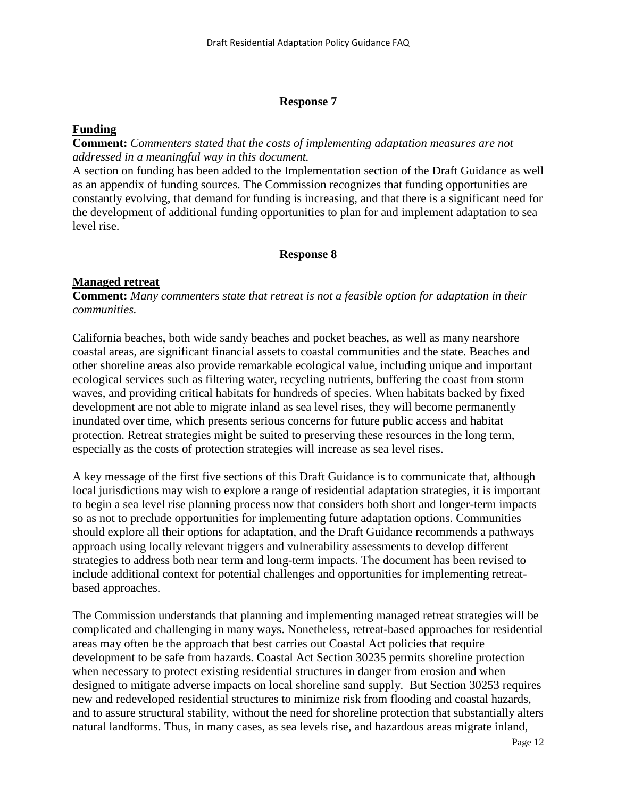#### **Response 7**

#### **Funding**

**Comment:** *Commenters stated that the costs of implementing adaptation measures are not addressed in a meaningful way in this document.*

A section on funding has been added to the Implementation section of the Draft Guidance as well as an appendix of funding sources. The Commission recognizes that funding opportunities are constantly evolving, that demand for funding is increasing, and that there is a significant need for the development of additional funding opportunities to plan for and implement adaptation to sea level rise.

#### **Response 8**

#### **Managed retreat**

**Comment:** *Many commenters state that retreat is not a feasible option for adaptation in their communities.*

California beaches, both wide sandy beaches and pocket beaches, as well as many nearshore coastal areas, are significant financial assets to coastal communities and the state. Beaches and other shoreline areas also provide remarkable ecological value, including unique and important ecological services such as filtering water, recycling nutrients, buffering the coast from storm waves, and providing critical habitats for hundreds of species. When habitats backed by fixed development are not able to migrate inland as sea level rises, they will become permanently inundated over time, which presents serious concerns for future public access and habitat protection. Retreat strategies might be suited to preserving these resources in the long term, especially as the costs of protection strategies will increase as sea level rises.

A key message of the first five sections of this Draft Guidance is to communicate that, although local jurisdictions may wish to explore a range of residential adaptation strategies, it is important to begin a sea level rise planning process now that considers both short and longer-term impacts so as not to preclude opportunities for implementing future adaptation options. Communities should explore all their options for adaptation, and the Draft Guidance recommends a pathways approach using locally relevant triggers and vulnerability assessments to develop different strategies to address both near term and long-term impacts. The document has been revised to include additional context for potential challenges and opportunities for implementing retreatbased approaches.

The Commission understands that planning and implementing managed retreat strategies will be complicated and challenging in many ways. Nonetheless, retreat-based approaches for residential areas may often be the approach that best carries out Coastal Act policies that require development to be safe from hazards. Coastal Act Section 30235 permits shoreline protection when necessary to protect existing residential structures in danger from erosion and when designed to mitigate adverse impacts on local shoreline sand supply. But Section 30253 requires new and redeveloped residential structures to minimize risk from flooding and coastal hazards, and to assure structural stability, without the need for shoreline protection that substantially alters natural landforms. Thus, in many cases, as sea levels rise, and hazardous areas migrate inland,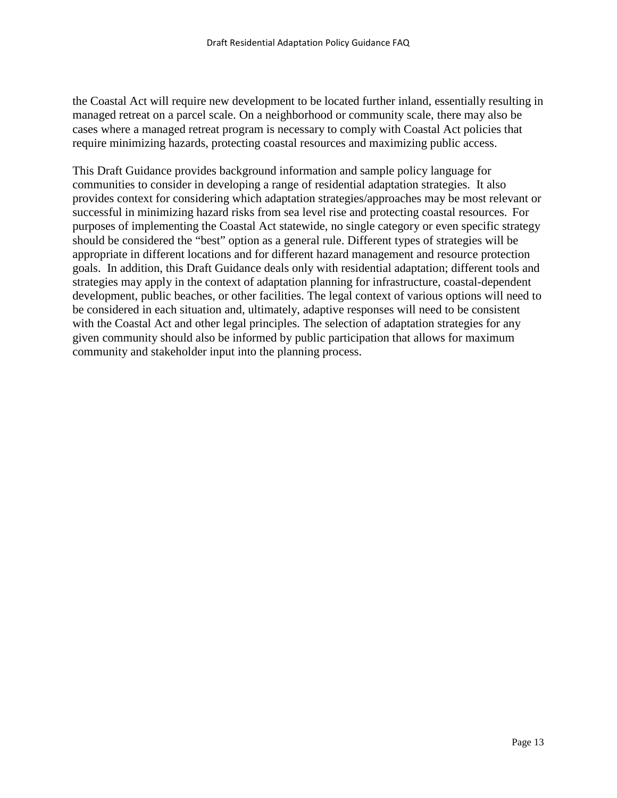the Coastal Act will require new development to be located further inland, essentially resulting in managed retreat on a parcel scale. On a neighborhood or community scale, there may also be cases where a managed retreat program is necessary to comply with Coastal Act policies that require minimizing hazards, protecting coastal resources and maximizing public access.

This Draft Guidance provides background information and sample policy language for communities to consider in developing a range of residential adaptation strategies. It also provides context for considering which adaptation strategies/approaches may be most relevant or successful in minimizing hazard risks from sea level rise and protecting coastal resources. For purposes of implementing the Coastal Act statewide, no single category or even specific strategy should be considered the "best" option as a general rule. Different types of strategies will be appropriate in different locations and for different hazard management and resource protection goals. In addition, this Draft Guidance deals only with residential adaptation; different tools and strategies may apply in the context of adaptation planning for infrastructure, coastal-dependent development, public beaches, or other facilities. The legal context of various options will need to be considered in each situation and, ultimately, adaptive responses will need to be consistent with the Coastal Act and other legal principles. The selection of adaptation strategies for any given community should also be informed by public participation that allows for maximum community and stakeholder input into the planning process.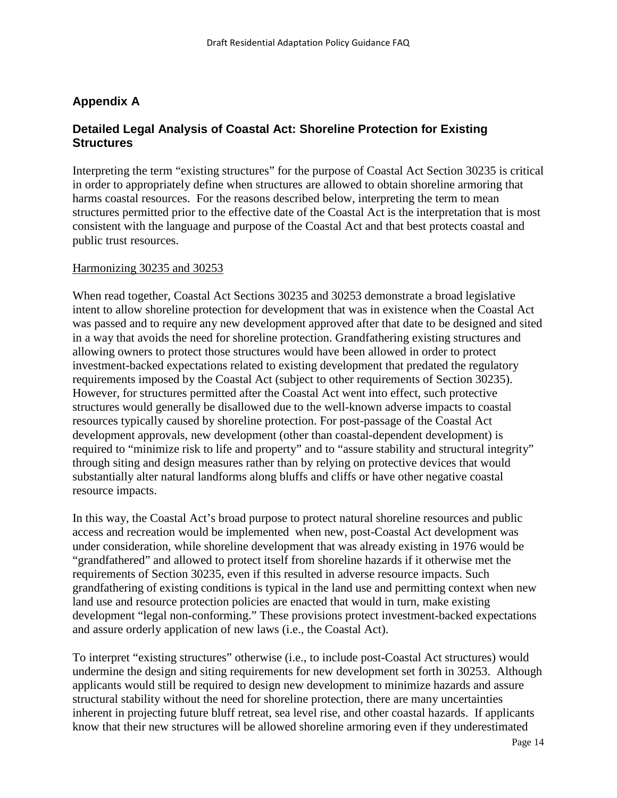# **Appendix A**

# **Detailed Legal Analysis of Coastal Act: Shoreline Protection for Existing Structures**

Interpreting the term "existing structures" for the purpose of Coastal Act Section 30235 is critical in order to appropriately define when structures are allowed to obtain shoreline armoring that harms coastal resources. For the reasons described below, interpreting the term to mean structures permitted prior to the effective date of the Coastal Act is the interpretation that is most consistent with the language and purpose of the Coastal Act and that best protects coastal and public trust resources.

#### Harmonizing 30235 and 30253

When read together, Coastal Act Sections 30235 and 30253 demonstrate a broad legislative intent to allow shoreline protection for development that was in existence when the Coastal Act was passed and to require any new development approved after that date to be designed and sited in a way that avoids the need for shoreline protection. Grandfathering existing structures and allowing owners to protect those structures would have been allowed in order to protect investment-backed expectations related to existing development that predated the regulatory requirements imposed by the Coastal Act (subject to other requirements of Section 30235). However, for structures permitted after the Coastal Act went into effect, such protective structures would generally be disallowed due to the well-known adverse impacts to coastal resources typically caused by shoreline protection. For post-passage of the Coastal Act development approvals, new development (other than coastal-dependent development) is required to "minimize risk to life and property" and to "assure stability and structural integrity" through siting and design measures rather than by relying on protective devices that would substantially alter natural landforms along bluffs and cliffs or have other negative coastal resource impacts.

In this way, the Coastal Act's broad purpose to protect natural shoreline resources and public access and recreation would be implemented when new, post-Coastal Act development was under consideration, while shoreline development that was already existing in 1976 would be "grandfathered" and allowed to protect itself from shoreline hazards if it otherwise met the requirements of Section 30235, even if this resulted in adverse resource impacts. Such grandfathering of existing conditions is typical in the land use and permitting context when new land use and resource protection policies are enacted that would in turn, make existing development "legal non-conforming." These provisions protect investment-backed expectations and assure orderly application of new laws (i.e., the Coastal Act).

To interpret "existing structures" otherwise (i.e., to include post-Coastal Act structures) would undermine the design and siting requirements for new development set forth in 30253. Although applicants would still be required to design new development to minimize hazards and assure structural stability without the need for shoreline protection, there are many uncertainties inherent in projecting future bluff retreat, sea level rise, and other coastal hazards. If applicants know that their new structures will be allowed shoreline armoring even if they underestimated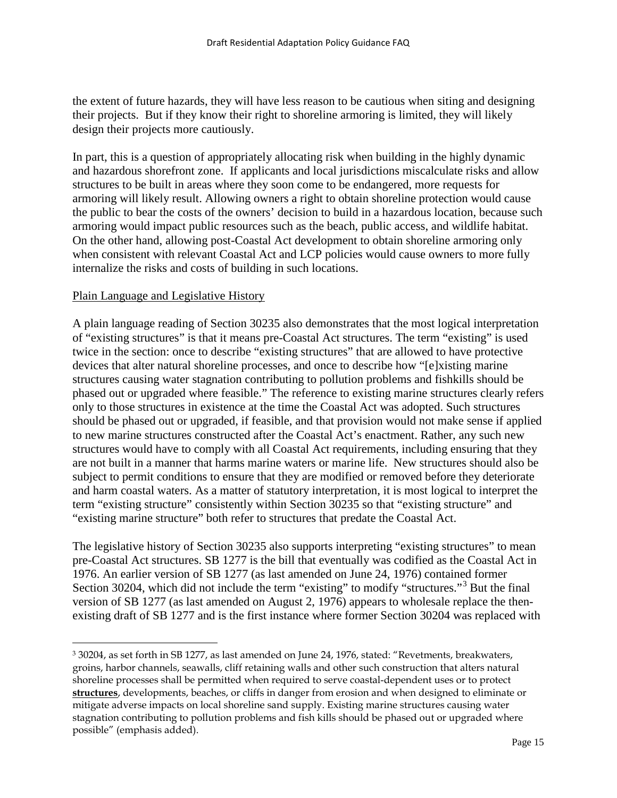the extent of future hazards, they will have less reason to be cautious when siting and designing their projects. But if they know their right to shoreline armoring is limited, they will likely design their projects more cautiously.

In part, this is a question of appropriately allocating risk when building in the highly dynamic and hazardous shorefront zone. If applicants and local jurisdictions miscalculate risks and allow structures to be built in areas where they soon come to be endangered, more requests for armoring will likely result. Allowing owners a right to obtain shoreline protection would cause the public to bear the costs of the owners' decision to build in a hazardous location, because such armoring would impact public resources such as the beach, public access, and wildlife habitat. On the other hand, allowing post-Coastal Act development to obtain shoreline armoring only when consistent with relevant Coastal Act and LCP policies would cause owners to more fully internalize the risks and costs of building in such locations.

#### Plain Language and Legislative History

 $\overline{a}$ 

A plain language reading of Section 30235 also demonstrates that the most logical interpretation of "existing structures" is that it means pre-Coastal Act structures. The term "existing" is used twice in the section: once to describe "existing structures" that are allowed to have protective devices that alter natural shoreline processes, and once to describe how "[e]xisting marine structures causing water stagnation contributing to pollution problems and fishkills should be phased out or upgraded where feasible." The reference to existing marine structures clearly refers only to those structures in existence at the time the Coastal Act was adopted. Such structures should be phased out or upgraded, if feasible, and that provision would not make sense if applied to new marine structures constructed after the Coastal Act's enactment. Rather, any such new structures would have to comply with all Coastal Act requirements, including ensuring that they are not built in a manner that harms marine waters or marine life. New structures should also be subject to permit conditions to ensure that they are modified or removed before they deteriorate and harm coastal waters. As a matter of statutory interpretation, it is most logical to interpret the term "existing structure" consistently within Section 30235 so that "existing structure" and "existing marine structure" both refer to structures that predate the Coastal Act.

The legislative history of Section 30235 also supports interpreting "existing structures" to mean pre-Coastal Act structures. SB 1277 is the bill that eventually was codified as the Coastal Act in 1976. An earlier version of SB 1277 (as last amended on June 24, 1976) contained former Section 30204, which did not include the term "existing" to modify "structures."[3](#page-14-0) But the final version of SB 1277 (as last amended on August 2, 1976) appears to wholesale replace the thenexisting draft of SB 1277 and is the first instance where former Section 30204 was replaced with

<span id="page-14-0"></span><sup>3</sup> 30204, as set forth in SB 1277, as last amended on June 24, 1976, stated: "Revetments, breakwaters, groins, harbor channels, seawalls, cliff retaining walls and other such construction that alters natural shoreline processes shall be permitted when required to serve coastal-dependent uses or to protect **structures**, developments, beaches, or cliffs in danger from erosion and when designed to eliminate or mitigate adverse impacts on local shoreline sand supply. Existing marine structures causing water stagnation contributing to pollution problems and fish kills should be phased out or upgraded where possible" (emphasis added).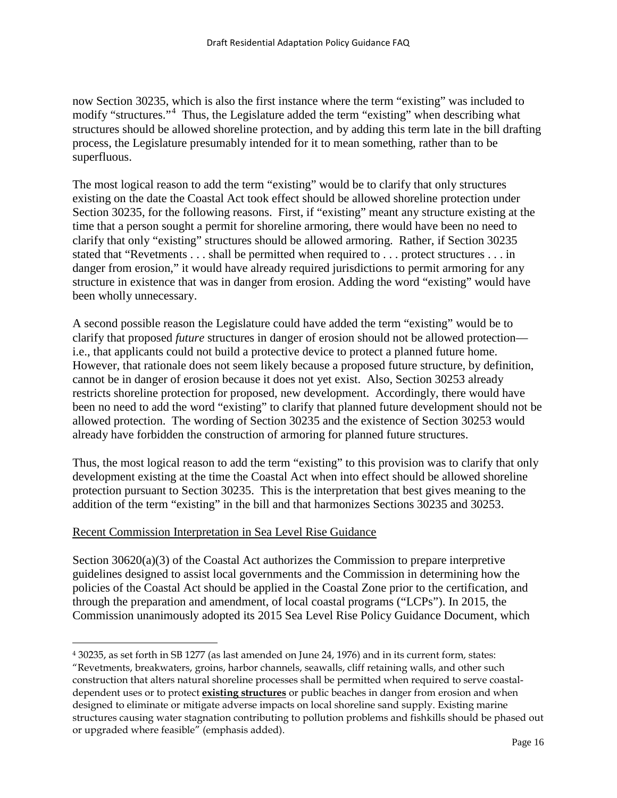now Section 30235, which is also the first instance where the term "existing" was included to modify "structures."<sup>[4](#page-15-0)</sup> Thus, the Legislature added the term "existing" when describing what structures should be allowed shoreline protection, and by adding this term late in the bill drafting process, the Legislature presumably intended for it to mean something, rather than to be superfluous.

The most logical reason to add the term "existing" would be to clarify that only structures existing on the date the Coastal Act took effect should be allowed shoreline protection under Section 30235, for the following reasons. First, if "existing" meant any structure existing at the time that a person sought a permit for shoreline armoring, there would have been no need to clarify that only "existing" structures should be allowed armoring. Rather, if Section 30235 stated that "Revetments . . . shall be permitted when required to . . . protect structures . . . in danger from erosion," it would have already required jurisdictions to permit armoring for any structure in existence that was in danger from erosion. Adding the word "existing" would have been wholly unnecessary.

A second possible reason the Legislature could have added the term "existing" would be to clarify that proposed *future* structures in danger of erosion should not be allowed protection i.e., that applicants could not build a protective device to protect a planned future home. However, that rationale does not seem likely because a proposed future structure, by definition, cannot be in danger of erosion because it does not yet exist. Also, Section 30253 already restricts shoreline protection for proposed, new development. Accordingly, there would have been no need to add the word "existing" to clarify that planned future development should not be allowed protection. The wording of Section 30235 and the existence of Section 30253 would already have forbidden the construction of armoring for planned future structures.

Thus, the most logical reason to add the term "existing" to this provision was to clarify that only development existing at the time the Coastal Act when into effect should be allowed shoreline protection pursuant to Section 30235. This is the interpretation that best gives meaning to the addition of the term "existing" in the bill and that harmonizes Sections 30235 and 30253.

## Recent Commission Interpretation in Sea Level Rise Guidance

 $\overline{a}$ 

Section 30620(a)(3) of the Coastal Act authorizes the Commission to prepare interpretive guidelines designed to assist local governments and the Commission in determining how the policies of the Coastal Act should be applied in the Coastal Zone prior to the certification, and through the preparation and amendment, of local coastal programs ("LCPs"). In 2015, the Commission unanimously adopted its 2015 Sea Level Rise Policy Guidance Document, which

<span id="page-15-0"></span><sup>4</sup> 30235, as set forth in SB 1277 (as last amended on June 24, 1976) and in its current form, states: "Revetments, breakwaters, groins, harbor channels, seawalls, cliff retaining walls, and other such construction that alters natural shoreline processes shall be permitted when required to serve coastaldependent uses or to protect **existing structures** or public beaches in danger from erosion and when designed to eliminate or mitigate adverse impacts on local shoreline sand supply. Existing marine structures causing water stagnation contributing to pollution problems and fishkills should be phased out or upgraded where feasible" (emphasis added).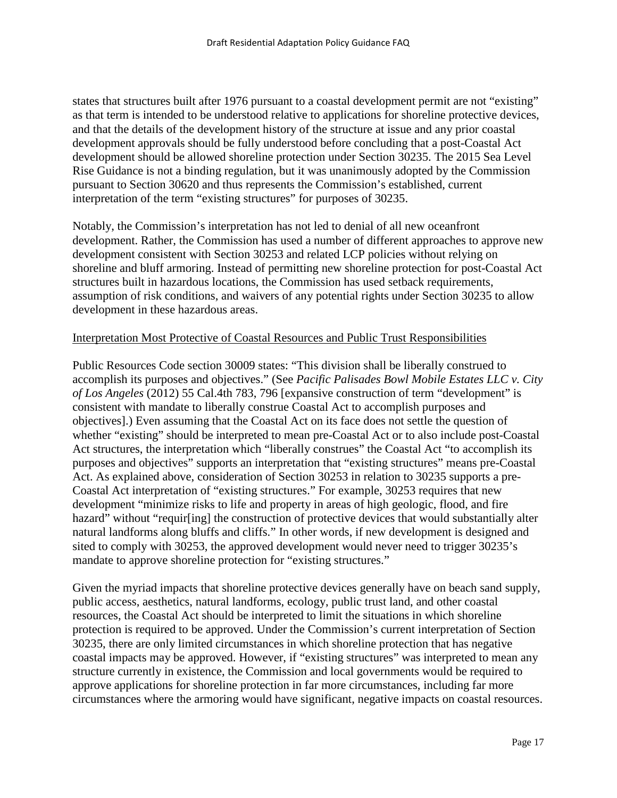states that structures built after 1976 pursuant to a coastal development permit are not "existing" as that term is intended to be understood relative to applications for shoreline protective devices, and that the details of the development history of the structure at issue and any prior coastal development approvals should be fully understood before concluding that a post-Coastal Act development should be allowed shoreline protection under Section 30235. The 2015 Sea Level Rise Guidance is not a binding regulation, but it was unanimously adopted by the Commission pursuant to Section 30620 and thus represents the Commission's established, current interpretation of the term "existing structures" for purposes of 30235.

Notably, the Commission's interpretation has not led to denial of all new oceanfront development. Rather, the Commission has used a number of different approaches to approve new development consistent with Section 30253 and related LCP policies without relying on shoreline and bluff armoring. Instead of permitting new shoreline protection for post-Coastal Act structures built in hazardous locations, the Commission has used setback requirements, assumption of risk conditions, and waivers of any potential rights under Section 30235 to allow development in these hazardous areas.

## Interpretation Most Protective of Coastal Resources and Public Trust Responsibilities

Public Resources Code section 30009 states: "This division shall be liberally construed to accomplish its purposes and objectives." (See *Pacific Palisades Bowl Mobile Estates LLC v. City of Los Angeles* (2012) 55 Cal.4th 783, 796 [expansive construction of term "development" is consistent with mandate to liberally construe Coastal Act to accomplish purposes and objectives].) Even assuming that the Coastal Act on its face does not settle the question of whether "existing" should be interpreted to mean pre-Coastal Act or to also include post-Coastal Act structures, the interpretation which "liberally construes" the Coastal Act "to accomplish its purposes and objectives" supports an interpretation that "existing structures" means pre-Coastal Act. As explained above, consideration of Section 30253 in relation to 30235 supports a pre-Coastal Act interpretation of "existing structures." For example, 30253 requires that new development "minimize risks to life and property in areas of high geologic, flood, and fire hazard" without "requir[ing] the construction of protective devices that would substantially alter natural landforms along bluffs and cliffs." In other words, if new development is designed and sited to comply with 30253, the approved development would never need to trigger 30235's mandate to approve shoreline protection for "existing structures."

Given the myriad impacts that shoreline protective devices generally have on beach sand supply, public access, aesthetics, natural landforms, ecology, public trust land, and other coastal resources, the Coastal Act should be interpreted to limit the situations in which shoreline protection is required to be approved. Under the Commission's current interpretation of Section 30235, there are only limited circumstances in which shoreline protection that has negative coastal impacts may be approved. However, if "existing structures" was interpreted to mean any structure currently in existence, the Commission and local governments would be required to approve applications for shoreline protection in far more circumstances, including far more circumstances where the armoring would have significant, negative impacts on coastal resources.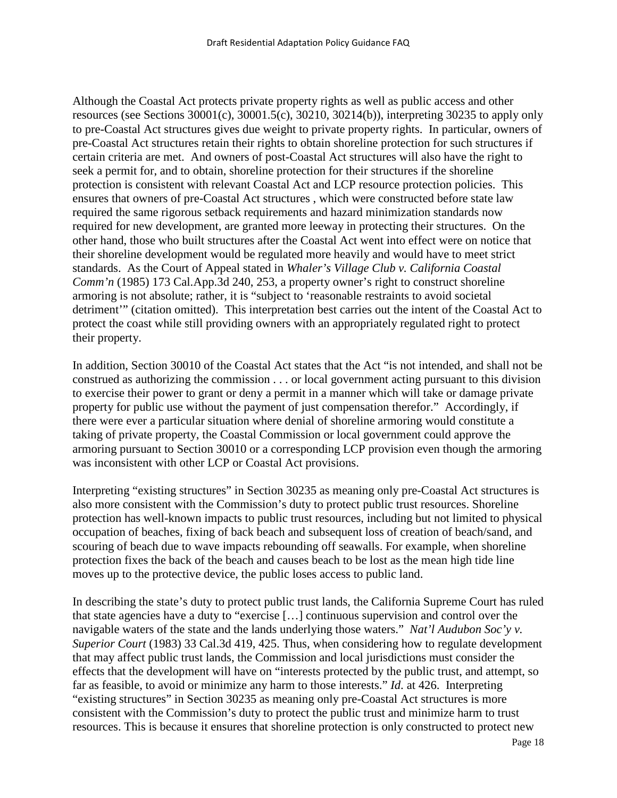Although the Coastal Act protects private property rights as well as public access and other resources (see Sections 30001(c), 30001.5(c), 30210, 30214(b)), interpreting 30235 to apply only to pre-Coastal Act structures gives due weight to private property rights. In particular, owners of pre-Coastal Act structures retain their rights to obtain shoreline protection for such structures if certain criteria are met. And owners of post-Coastal Act structures will also have the right to seek a permit for, and to obtain, shoreline protection for their structures if the shoreline protection is consistent with relevant Coastal Act and LCP resource protection policies. This ensures that owners of pre-Coastal Act structures , which were constructed before state law required the same rigorous setback requirements and hazard minimization standards now required for new development, are granted more leeway in protecting their structures. On the other hand, those who built structures after the Coastal Act went into effect were on notice that their shoreline development would be regulated more heavily and would have to meet strict standards. As the Court of Appeal stated in *Whaler's Village Club v. California Coastal Comm'n* (1985) 173 Cal.App.3d 240, 253, a property owner's right to construct shoreline armoring is not absolute; rather, it is "subject to 'reasonable restraints to avoid societal detriment'" (citation omitted). This interpretation best carries out the intent of the Coastal Act to protect the coast while still providing owners with an appropriately regulated right to protect their property.

In addition, Section 30010 of the Coastal Act states that the Act "is not intended, and shall not be construed as authorizing the commission . . . or local government acting pursuant to this division to exercise their power to grant or deny a permit in a manner which will take or damage private property for public use without the payment of just compensation therefor." Accordingly, if there were ever a particular situation where denial of shoreline armoring would constitute a taking of private property, the Coastal Commission or local government could approve the armoring pursuant to Section 30010 or a corresponding LCP provision even though the armoring was inconsistent with other LCP or Coastal Act provisions.

Interpreting "existing structures" in Section 30235 as meaning only pre-Coastal Act structures is also more consistent with the Commission's duty to protect public trust resources. Shoreline protection has well-known impacts to public trust resources, including but not limited to physical occupation of beaches, fixing of back beach and subsequent loss of creation of beach/sand, and scouring of beach due to wave impacts rebounding off seawalls. For example, when shoreline protection fixes the back of the beach and causes beach to be lost as the mean high tide line moves up to the protective device, the public loses access to public land.

In describing the state's duty to protect public trust lands, the California Supreme Court has ruled that state agencies have a duty to "exercise […] continuous supervision and control over the navigable waters of the state and the lands underlying those waters." *Nat'l Audubon Soc'y v. Superior Court* (1983) 33 Cal.3d 419, 425. Thus, when considering how to regulate development that may affect public trust lands, the Commission and local jurisdictions must consider the effects that the development will have on "interests protected by the public trust, and attempt, so far as feasible, to avoid or minimize any harm to those interests." *Id*. at 426. Interpreting "existing structures" in Section 30235 as meaning only pre-Coastal Act structures is more consistent with the Commission's duty to protect the public trust and minimize harm to trust resources. This is because it ensures that shoreline protection is only constructed to protect new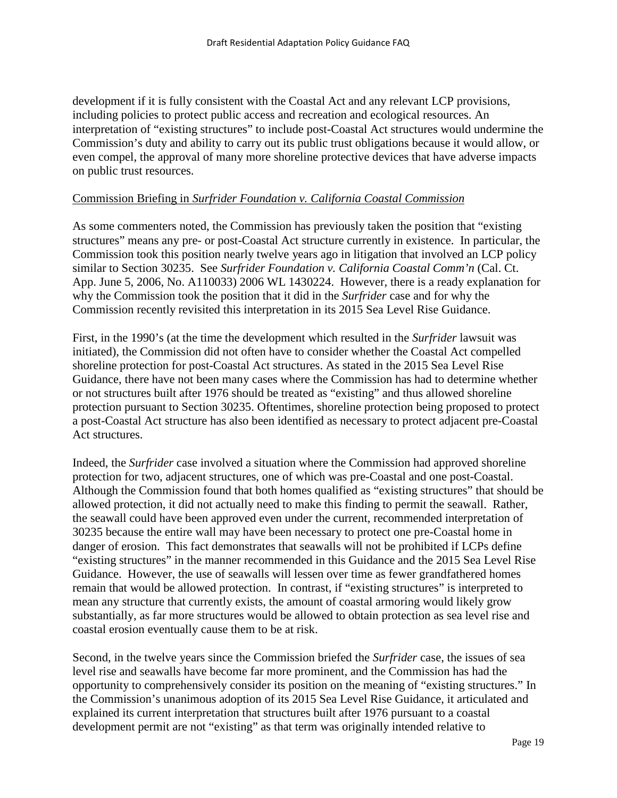development if it is fully consistent with the Coastal Act and any relevant LCP provisions, including policies to protect public access and recreation and ecological resources. An interpretation of "existing structures" to include post-Coastal Act structures would undermine the Commission's duty and ability to carry out its public trust obligations because it would allow, or even compel, the approval of many more shoreline protective devices that have adverse impacts on public trust resources.

## Commission Briefing in *Surfrider Foundation v. California Coastal Commission*

As some commenters noted, the Commission has previously taken the position that "existing structures" means any pre- or post-Coastal Act structure currently in existence. In particular, the Commission took this position nearly twelve years ago in litigation that involved an LCP policy similar to Section 30235. See *Surfrider Foundation v. California Coastal Comm'n* (Cal. Ct. App. June 5, 2006, No. A110033) 2006 WL 1430224. However, there is a ready explanation for why the Commission took the position that it did in the *Surfrider* case and for why the Commission recently revisited this interpretation in its 2015 Sea Level Rise Guidance.

First, in the 1990's (at the time the development which resulted in the *Surfrider* lawsuit was initiated), the Commission did not often have to consider whether the Coastal Act compelled shoreline protection for post-Coastal Act structures. As stated in the 2015 Sea Level Rise Guidance, there have not been many cases where the Commission has had to determine whether or not structures built after 1976 should be treated as "existing" and thus allowed shoreline protection pursuant to Section 30235. Oftentimes, shoreline protection being proposed to protect a post-Coastal Act structure has also been identified as necessary to protect adjacent pre-Coastal Act structures.

Indeed, the *Surfrider* case involved a situation where the Commission had approved shoreline protection for two, adjacent structures, one of which was pre-Coastal and one post-Coastal. Although the Commission found that both homes qualified as "existing structures" that should be allowed protection, it did not actually need to make this finding to permit the seawall. Rather, the seawall could have been approved even under the current, recommended interpretation of 30235 because the entire wall may have been necessary to protect one pre-Coastal home in danger of erosion. This fact demonstrates that seawalls will not be prohibited if LCPs define "existing structures" in the manner recommended in this Guidance and the 2015 Sea Level Rise Guidance. However, the use of seawalls will lessen over time as fewer grandfathered homes remain that would be allowed protection. In contrast, if "existing structures" is interpreted to mean any structure that currently exists, the amount of coastal armoring would likely grow substantially, as far more structures would be allowed to obtain protection as sea level rise and coastal erosion eventually cause them to be at risk.

Second, in the twelve years since the Commission briefed the *Surfrider* case, the issues of sea level rise and seawalls have become far more prominent, and the Commission has had the opportunity to comprehensively consider its position on the meaning of "existing structures." In the Commission's unanimous adoption of its 2015 Sea Level Rise Guidance, it articulated and explained its current interpretation that structures built after 1976 pursuant to a coastal development permit are not "existing" as that term was originally intended relative to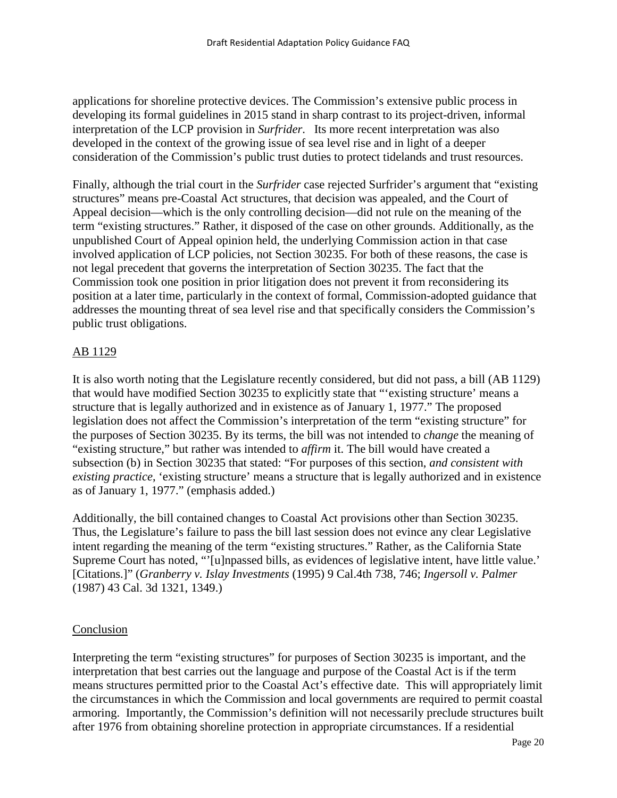applications for shoreline protective devices. The Commission's extensive public process in developing its formal guidelines in 2015 stand in sharp contrast to its project-driven, informal interpretation of the LCP provision in *Surfrider*. Its more recent interpretation was also developed in the context of the growing issue of sea level rise and in light of a deeper consideration of the Commission's public trust duties to protect tidelands and trust resources.

Finally, although the trial court in the *Surfrider* case rejected Surfrider's argument that "existing structures" means pre-Coastal Act structures, that decision was appealed, and the Court of Appeal decision—which is the only controlling decision—did not rule on the meaning of the term "existing structures." Rather, it disposed of the case on other grounds. Additionally, as the unpublished Court of Appeal opinion held, the underlying Commission action in that case involved application of LCP policies, not Section 30235. For both of these reasons, the case is not legal precedent that governs the interpretation of Section 30235. The fact that the Commission took one position in prior litigation does not prevent it from reconsidering its position at a later time, particularly in the context of formal, Commission-adopted guidance that addresses the mounting threat of sea level rise and that specifically considers the Commission's public trust obligations.

# AB 1129

It is also worth noting that the Legislature recently considered, but did not pass, a bill (AB 1129) that would have modified Section 30235 to explicitly state that "'existing structure' means a structure that is legally authorized and in existence as of January 1, 1977." The proposed legislation does not affect the Commission's interpretation of the term "existing structure" for the purposes of Section 30235. By its terms, the bill was not intended to *change* the meaning of "existing structure," but rather was intended to *affirm* it. The bill would have created a subsection (b) in Section 30235 that stated: "For purposes of this section, *and consistent with existing practice*, 'existing structure' means a structure that is legally authorized and in existence as of January 1, 1977." (emphasis added.)

Additionally, the bill contained changes to Coastal Act provisions other than Section 30235. Thus, the Legislature's failure to pass the bill last session does not evince any clear Legislative intent regarding the meaning of the term "existing structures." Rather, as the California State Supreme Court has noted, "'[u]npassed bills, as evidences of legislative intent, have little value.' [Citations.]" (*Granberry v. Islay Investments* (1995) 9 Cal.4th 738, 746; *Ingersoll v. Palmer* (1987) 43 Cal. 3d 1321, 1349.)

## Conclusion

Interpreting the term "existing structures" for purposes of Section 30235 is important, and the interpretation that best carries out the language and purpose of the Coastal Act is if the term means structures permitted prior to the Coastal Act's effective date. This will appropriately limit the circumstances in which the Commission and local governments are required to permit coastal armoring. Importantly, the Commission's definition will not necessarily preclude structures built after 1976 from obtaining shoreline protection in appropriate circumstances. If a residential